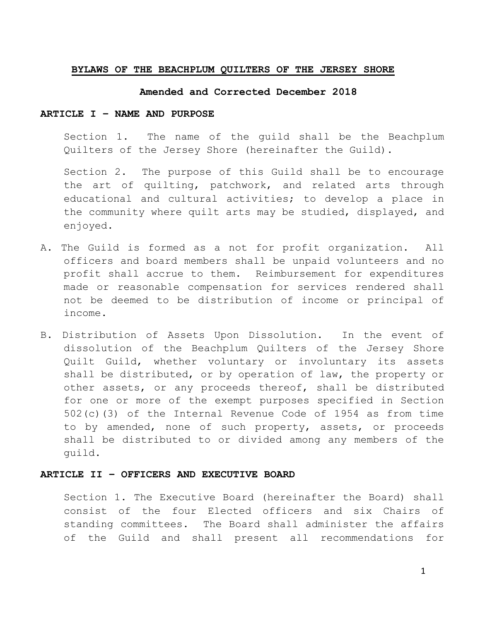### **BYLAWS OF THE BEACHPLUM QUILTERS OF THE JERSEY SHORE**

#### **Amended and Corrected December 2018**

#### **ARTICLE I – NAME AND PURPOSE**

Section 1. The name of the guild shall be the Beachplum Quilters of the Jersey Shore (hereinafter the Guild).

Section 2. The purpose of this Guild shall be to encourage the art of quilting, patchwork, and related arts through educational and cultural activities; to develop a place in the community where quilt arts may be studied, displayed, and enjoyed.

- A. The Guild is formed as a not for profit organization. All officers and board members shall be unpaid volunteers and no profit shall accrue to them. Reimbursement for expenditures made or reasonable compensation for services rendered shall not be deemed to be distribution of income or principal of income.
- B. Distribution of Assets Upon Dissolution. In the event of dissolution of the Beachplum Quilters of the Jersey Shore Quilt Guild, whether voluntary or involuntary its assets shall be distributed, or by operation of law, the property or other assets, or any proceeds thereof, shall be distributed for one or more of the exempt purposes specified in Section 502(c)(3) of the Internal Revenue Code of 1954 as from time to by amended, none of such property, assets, or proceeds shall be distributed to or divided among any members of the guild.

#### **ARTICLE II – OFFICERS AND EXECUTIVE BOARD**

Section 1. The Executive Board (hereinafter the Board) shall consist of the four Elected officers and six Chairs of standing committees. The Board shall administer the affairs of the Guild and shall present all recommendations for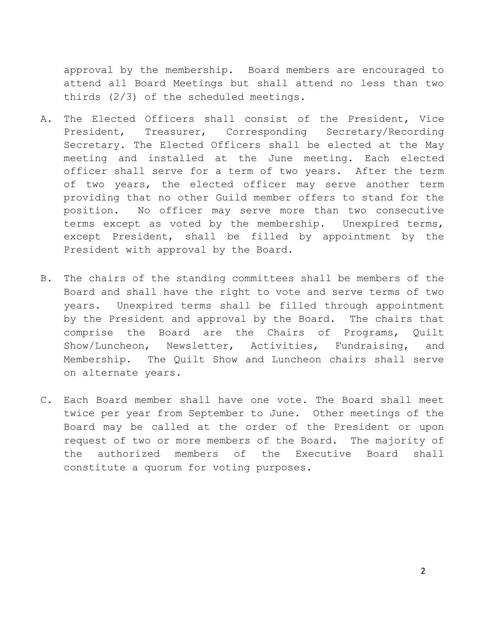approval by the membership. Board members are encouraged to attend all Board Meetings but shall attend no less than two thirds (2/3) of the scheduled meetings.

- A. The Elected Officers shall consist of the President, Vice President, Treasurer, Corresponding Secretary/Recording Secretary. The Elected Officers shall be elected at the May meeting and installed at the June meeting. Each elected officer shall serve for a term of two years. After the term of two years, the elected officer may serve another term providing that no other Guild member offers to stand for the position. No officer may serve more than two consecutive terms except as voted by the membership. Unexpired terms, except President, shall be filled by appointment by the President with approval by the Board.
- B. The chairs of the standing committees shall be members of the Board and shall have the right to vote and serve terms of two years. Unexpired terms shall be filled through appointment by the President and approval by the Board. The chairs that comprise the Board are the Chairs of Programs, Quilt Show/Luncheon, Newsletter, Activities, Fundraising, and Membership. The Quilt Show and Luncheon chairs shall serve on alternate years.
- C. Each Board member shall have one vote. The Board shall meet twice per year from September to June. Other meetings of the Board may be called at the order of the President or upon request of two or more members of the Board. The majority of the authorized members of the Executive Board shall constitute a quorum for voting purposes.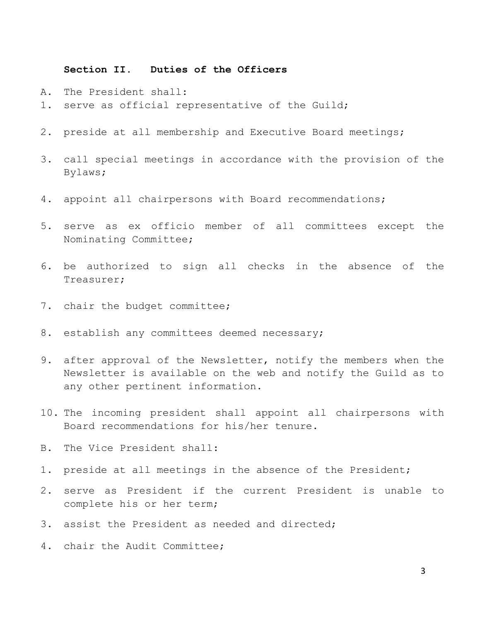# **Section II. Duties of the Officers**

- A. The President shall:
- 1. serve as official representative of the Guild;
- 2. preside at all membership and Executive Board meetings;
- 3. call special meetings in accordance with the provision of the Bylaws;
- 4. appoint all chairpersons with Board recommendations;
- 5. serve as ex officio member of all committees except the Nominating Committee;
- 6. be authorized to sign all checks in the absence of the Treasurer;
- 7. chair the budget committee;
- 8. establish any committees deemed necessary;
- 9. after approval of the Newsletter, notify the members when the Newsletter is available on the web and notify the Guild as to any other pertinent information.
- 10. The incoming president shall appoint all chairpersons with Board recommendations for his/her tenure.
- B. The Vice President shall:
- 1. preside at all meetings in the absence of the President;
- 2. serve as President if the current President is unable to complete his or her term;
- 3. assist the President as needed and directed;
- 4. chair the Audit Committee;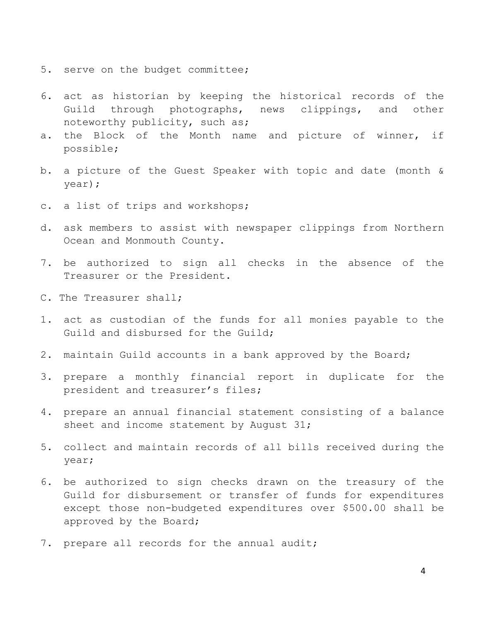- 5. serve on the budget committee;
- 6. act as historian by keeping the historical records of the Guild through photographs, news clippings, and other noteworthy publicity, such as;
- a. the Block of the Month name and picture of winner, if possible;
- b. a picture of the Guest Speaker with topic and date (month & year);
- c. a list of trips and workshops;
- d. ask members to assist with newspaper clippings from Northern Ocean and Monmouth County.
- 7. be authorized to sign all checks in the absence of the Treasurer or the President.
- C. The Treasurer shall;
- 1. act as custodian of the funds for all monies payable to the Guild and disbursed for the Guild;
- 2. maintain Guild accounts in a bank approved by the Board;
- 3. prepare a monthly financial report in duplicate for the president and treasurer's files;
- 4. prepare an annual financial statement consisting of a balance sheet and income statement by August 31;
- 5. collect and maintain records of all bills received during the year;
- 6. be authorized to sign checks drawn on the treasury of the Guild for disbursement or transfer of funds for expenditures except those non-budgeted expenditures over \$500.00 shall be approved by the Board;
- 7. prepare all records for the annual audit;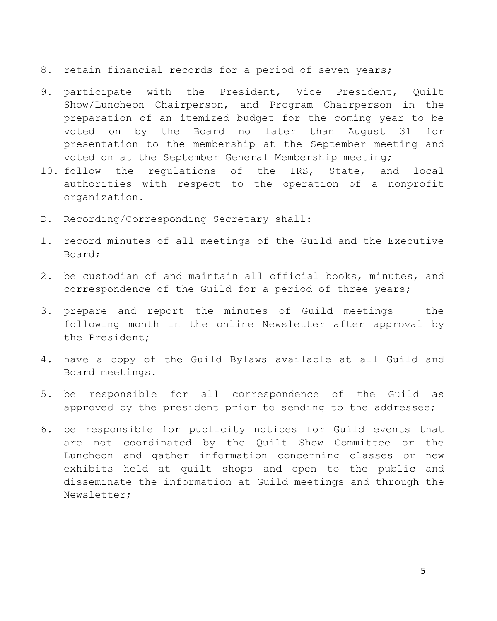- 8. retain financial records for a period of seven years;
- 9. participate with the President, Vice President, Quilt Show/Luncheon Chairperson, and Program Chairperson in the preparation of an itemized budget for the coming year to be voted on by the Board no later than August 31 for presentation to the membership at the September meeting and voted on at the September General Membership meeting;
- 10. follow the regulations of the IRS, State, and local authorities with respect to the operation of a nonprofit organization.
- D. Recording/Corresponding Secretary shall:
- 1. record minutes of all meetings of the Guild and the Executive Board;
- 2. be custodian of and maintain all official books, minutes, and correspondence of the Guild for a period of three years;
- 3. prepare and report the minutes of Guild meetings the following month in the online Newsletter after approval by the President;
- 4. have a copy of the Guild Bylaws available at all Guild and Board meetings.
- 5. be responsible for all correspondence of the Guild as approved by the president prior to sending to the addressee;
- 6. be responsible for publicity notices for Guild events that are not coordinated by the Quilt Show Committee or the Luncheon and gather information concerning classes or new exhibits held at quilt shops and open to the public and disseminate the information at Guild meetings and through the Newsletter;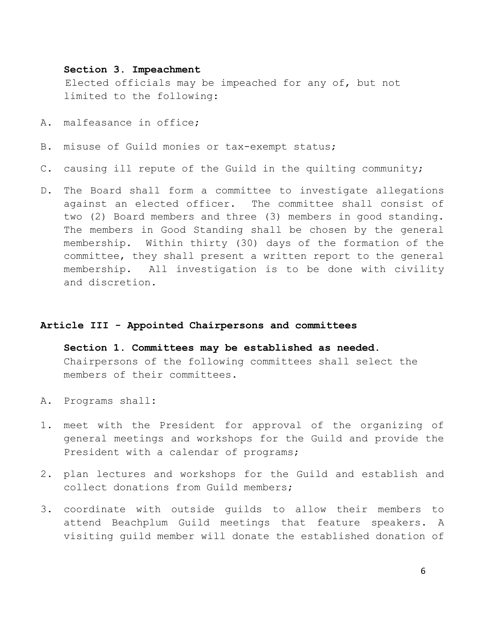## **Section 3. Impeachment**

 Elected officials may be impeached for any of, but not limited to the following:

- A. malfeasance in office;
- B. misuse of Guild monies or tax-exempt status;
- C. causing ill repute of the Guild in the quilting community;
- D. The Board shall form a committee to investigate allegations against an elected officer. The committee shall consist of two (2) Board members and three (3) members in good standing. The members in Good Standing shall be chosen by the general membership. Within thirty (30) days of the formation of the committee, they shall present a written report to the general membership. All investigation is to be done with civility and discretion.

## **Article III - Appointed Chairpersons and committees**

**Section 1. Committees may be established as needed.**  Chairpersons of the following committees shall select the members of their committees.

- A. Programs shall**:**
- 1. meet with the President for approval of the organizing of general meetings and workshops for the Guild and provide the President with a calendar of programs;
- 2. plan lectures and workshops for the Guild and establish and collect donations from Guild members;
- 3. coordinate with outside guilds to allow their members to attend Beachplum Guild meetings that feature speakers. A visiting guild member will donate the established donation of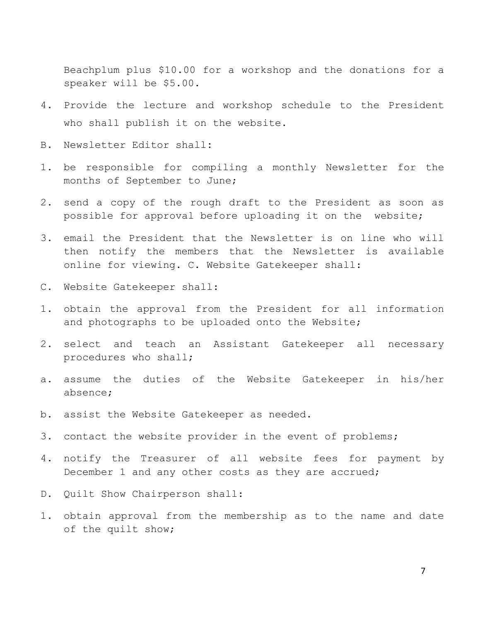Beachplum plus \$10.00 for a workshop and the donations for a speaker will be \$5.00.

- 4. Provide the lecture and workshop schedule to the President who shall publish it on the website.
- B. Newsletter Editor shall**:**
- 1. be responsible for compiling a monthly Newsletter for the months of September to June;
- 2. send a copy of the rough draft to the President as soon as possible for approval before uploading it on the website;
- 3. email the President that the Newsletter is on line who will then notify the members that the Newsletter is available online for viewing. C. Website Gatekeeper shall:
- C. Website Gatekeeper shall:
- 1. obtain the approval from the President for all information and photographs to be uploaded onto the Website;
- 2. select and teach an Assistant Gatekeeper all necessary procedures who shall;
- a. assume the duties of the Website Gatekeeper in his/her absence;
- b. assist the Website Gatekeeper as needed.
- 3. contact the website provider in the event of problems;
- 4. notify the Treasurer of all website fees for payment by December 1 and any other costs as they are accrued;
- D. Quilt Show Chairperson shall:
- 1. obtain approval from the membership as to the name and date of the quilt show;

7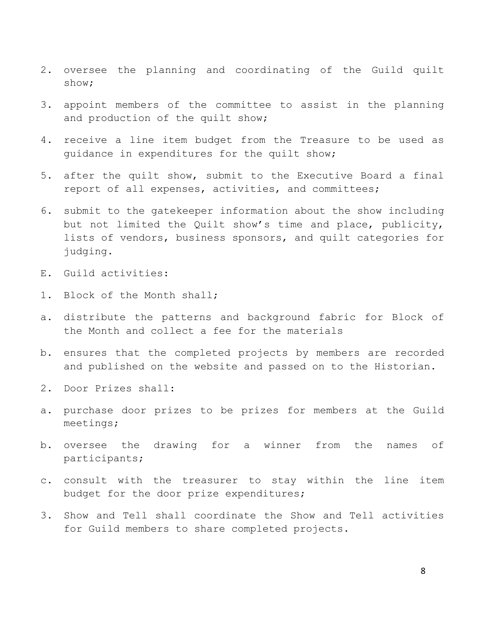- 2. oversee the planning and coordinating of the Guild quilt show;
- 3. appoint members of the committee to assist in the planning and production of the quilt show;
- 4. receive a line item budget from the Treasure to be used as guidance in expenditures for the quilt show;
- 5. after the quilt show, submit to the Executive Board a final report of all expenses, activities, and committees;
- 6. submit to the gatekeeper information about the show including but not limited the Quilt show's time and place, publicity, lists of vendors, business sponsors, and quilt categories for judging.
- E. Guild activities:
- 1. Block of the Month shall;
- a. distribute the patterns and background fabric for Block of the Month and collect a fee for the materials
- b. ensures that the completed projects by members are recorded and published on the website and passed on to the Historian.
- 2. Door Prizes shall:
- a. purchase door prizes to be prizes for members at the Guild meetings;
- b. oversee the drawing for a winner from the names of participants;
- c. consult with the treasurer to stay within the line item budget for the door prize expenditures;
- 3. Show and Tell shall coordinate the Show and Tell activities for Guild members to share completed projects.

8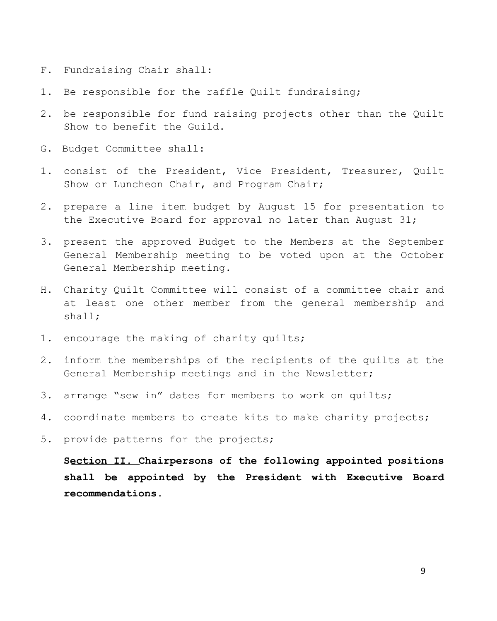- F. Fundraising Chair shall:
- 1. Be responsible for the raffle Quilt fundraising;
- 2. be responsible for fund raising projects other than the Quilt Show to benefit the Guild.
- G. Budget Committee shall:
- 1. consist of the President, Vice President, Treasurer, Quilt Show or Luncheon Chair, and Program Chair;
- 2. prepare a line item budget by August 15 for presentation to the Executive Board for approval no later than August 31;
- 3. present the approved Budget to the Members at the September General Membership meeting to be voted upon at the October General Membership meeting.
- H. Charity Quilt Committee will consist of a committee chair and at least one other member from the general membership and shall;
- 1. encourage the making of charity quilts;
- 2. inform the memberships of the recipients of the quilts at the General Membership meetings and in the Newsletter;
- 3. arrange "sew in" dates for members to work on quilts;
- 4. coordinate members to create kits to make charity projects;
- 5. provide patterns for the projects;

**Section II. Chairpersons of the following appointed positions shall be appointed by the President with Executive Board recommendations.**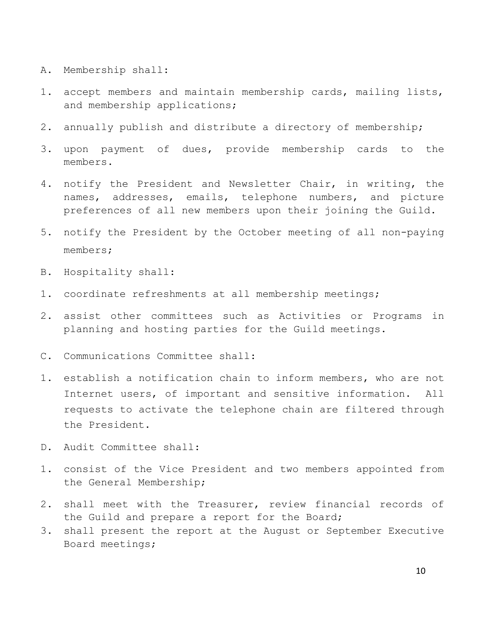- A. Membership shall:
- 1. accept members and maintain membership cards, mailing lists, and membership applications;
- 2. annually publish and distribute a directory of membership;
- 3. upon payment of dues, provide membership cards to the members.
- 4. notify the President and Newsletter Chair, in writing, the names, addresses, emails, telephone numbers, and picture preferences of all new members upon their joining the Guild.
- 5. notify the President by the October meeting of all non-paying members;
- B. Hospitality shall:
- 1. coordinate refreshments at all membership meetings;
- 2. assist other committees such as Activities or Programs in planning and hosting parties for the Guild meetings.
- C. Communications Committee shall:
- 1. establish a notification chain to inform members, who are not Internet users, of important and sensitive information. All requests to activate the telephone chain are filtered through the President.
- D. Audit Committee shall:
- 1. consist of the Vice President and two members appointed from the General Membership;
- 2. shall meet with the Treasurer, review financial records of the Guild and prepare a report for the Board;
- 3. shall present the report at the August or September Executive Board meetings;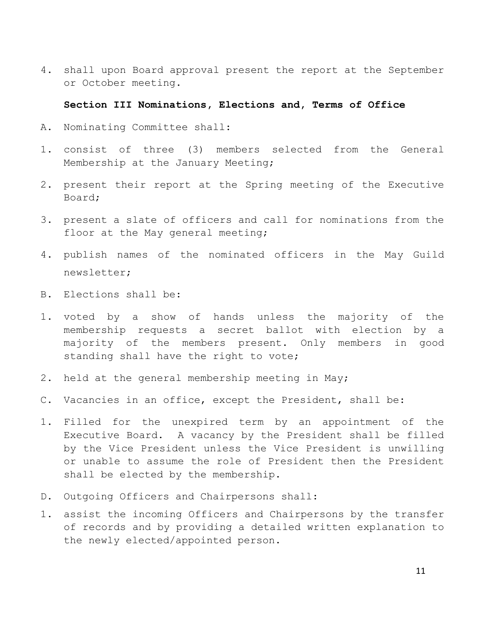4. shall upon Board approval present the report at the September or October meeting.

## **Section III Nominations, Elections and, Terms of Office**

- A. Nominating Committee shall:
- 1. consist of three (3) members selected from the General Membership at the January Meeting;
- 2. present their report at the Spring meeting of the Executive Board;
- 3. present a slate of officers and call for nominations from the floor at the May general meeting;
- 4. publish names of the nominated officers in the May Guild newsletter;
- B. Elections shall be:
- 1. voted by a show of hands unless the majority of the membership requests a secret ballot with election by a majority of the members present. Only members in good standing shall have the right to vote;
- 2. held at the general membership meeting in May;
- C. Vacancies in an office, except the President, shall be:
- 1. Filled for the unexpired term by an appointment of the Executive Board. A vacancy by the President shall be filled by the Vice President unless the Vice President is unwilling or unable to assume the role of President then the President shall be elected by the membership.
- D. Outgoing Officers and Chairpersons shall:
- 1. assist the incoming Officers and Chairpersons by the transfer of records and by providing a detailed written explanation to the newly elected/appointed person.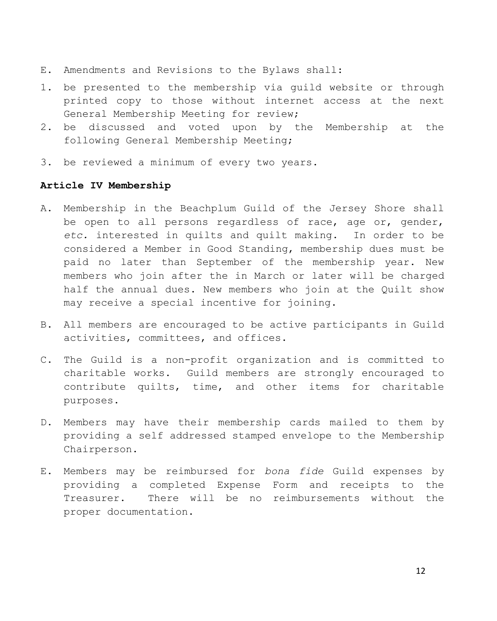- E. Amendments and Revisions to the Bylaws shall:
- 1. be presented to the membership via guild website or through printed copy to those without internet access at the next General Membership Meeting for review;
- 2. be discussed and voted upon by the Membership at the following General Membership Meeting;
- 3. be reviewed a minimum of every two years.

# **Article IV Membership**

- A. Membership in the Beachplum Guild of the Jersey Shore shall be open to all persons regardless of race, age or, gender, *etc.* interested in quilts and quilt making. In order to be considered a Member in Good Standing, membership dues must be paid no later than September of the membership year. New members who join after the in March or later will be charged half the annual dues. New members who join at the Quilt show may receive a special incentive for joining.
- B. All members are encouraged to be active participants in Guild activities, committees, and offices.
- C. The Guild is a non-profit organization and is committed to charitable works. Guild members are strongly encouraged to contribute quilts, time, and other items for charitable purposes.
- D. Members may have their membership cards mailed to them by providing a self addressed stamped envelope to the Membership Chairperson.
- E. Members may be reimbursed for *bona fide* Guild expenses by providing a completed Expense Form and receipts to the Treasurer. There will be no reimbursements without the proper documentation.